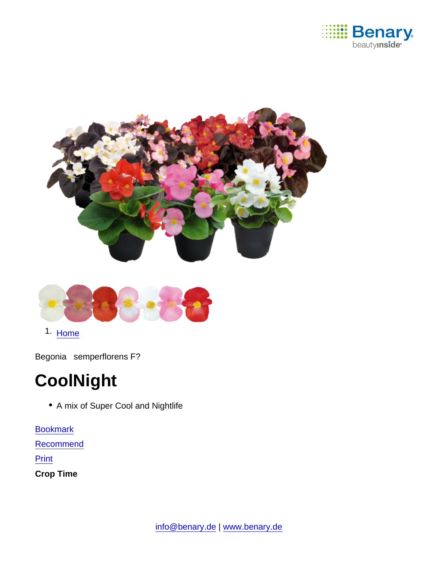

1. [Home](https://www.benary.com/)

Begonia semperflorens F?

# **CoolNight**

• A mix of Super Cool and Nightlife

[Bookmark](https://www.benary.com/flag/flag/product/5636?destination&token=MLaKr2qj8t7fNqXsSecnQfJsiyOo49mW4SakFErhzW0) [Recommend](mailto:?subject=Benary Begonia semperflorens F₁ &body=https://www.benary.com/print/pdf/node/5636)

Print

Crop Time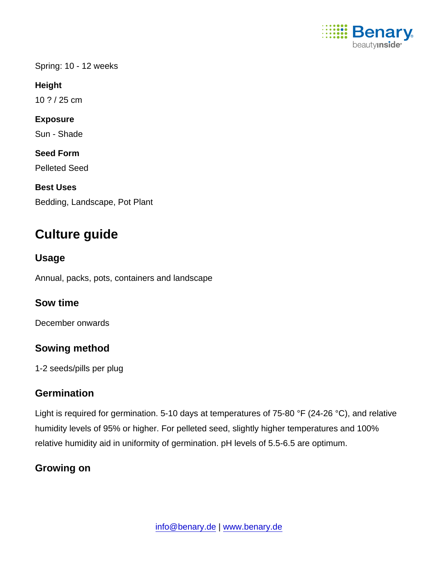

Spring: 10 - 12 weeks

Height

10 ? / 25 cm

Exposure

Sun - Shade

Seed Form

Pelleted Seed

Best Uses

Bedding, Landscape, Pot Plant

# Culture guide

Usage

Annual, packs, pots, containers and landscape

Sow time

December onwards

Sowing method

1-2 seeds/pills per plug

### **Germination**

Light is required for germination. 5-10 days at temperatures of 75-80 °F (24-26 °C), and relative humidity levels of 95% or higher. For pelleted seed, slightly higher temperatures and 100% relative humidity aid in uniformity of germination. pH levels of 5.5-6.5 are optimum.

Growing on